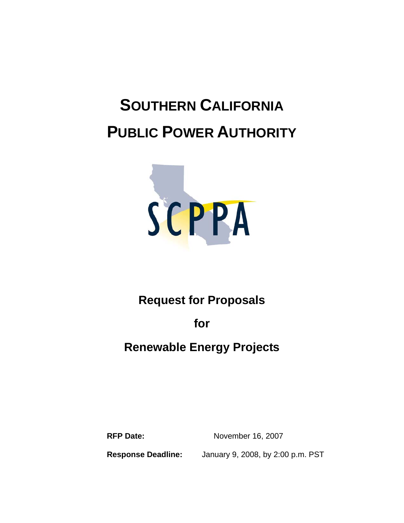# **SOUTHERN CALIFORNIA PUBLIC POWER AUTHORITY**



## **Request for Proposals**

**for** 

## **Renewable Energy Projects**

**RFP Date:** November 16, 2007

**Response Deadline:** January 9, 2008, by 2:00 p.m. PST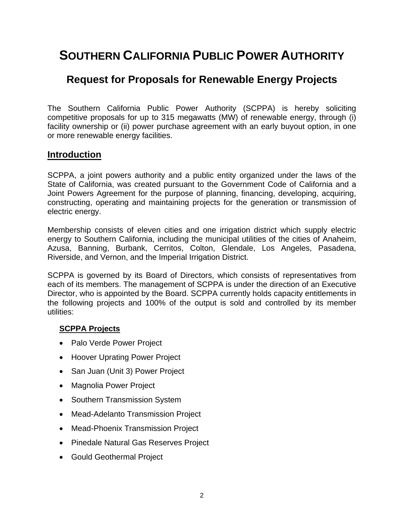## **SOUTHERN CALIFORNIA PUBLIC POWER AUTHORITY**

### **Request for Proposals for Renewable Energy Projects**

The Southern California Public Power Authority (SCPPA) is hereby soliciting competitive proposals for up to 315 megawatts (MW) of renewable energy, through (i) facility ownership or (ii) power purchase agreement with an early buyout option, in one or more renewable energy facilities.

#### **Introduction**

SCPPA, a joint powers authority and a public entity organized under the laws of the State of California, was created pursuant to the Government Code of California and a Joint Powers Agreement for the purpose of planning, financing, developing, acquiring, constructing, operating and maintaining projects for the generation or transmission of electric energy.

Membership consists of eleven cities and one irrigation district which supply electric energy to Southern California, including the municipal utilities of the cities of Anaheim, Azusa, Banning, Burbank, Cerritos, Colton, Glendale, Los Angeles, Pasadena, Riverside, and Vernon, and the Imperial Irrigation District.

SCPPA is governed by its Board of Directors, which consists of representatives from each of its members. The management of SCPPA is under the direction of an Executive Director, who is appointed by the Board. SCPPA currently holds capacity entitlements in the following projects and 100% of the output is sold and controlled by its member utilities:

#### **SCPPA Projects**

- Palo Verde Power Project
- Hoover Uprating Power Project
- San Juan (Unit 3) Power Project
- Magnolia Power Project
- Southern Transmission System
- Mead-Adelanto Transmission Project
- Mead-Phoenix Transmission Project
- Pinedale Natural Gas Reserves Project
- Gould Geothermal Project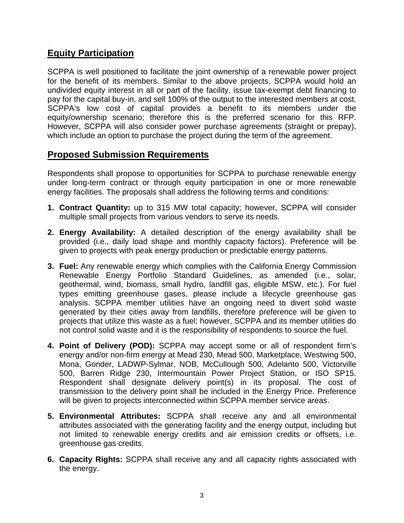#### **Equity Participation**

SCPPA is well positioned to facilitate the joint ownership of a renewable power project for the benefit of its members. Similar to the above projects, SCPPA would hold an undivided equity interest in all or part of the facility, issue tax-exempt debt financing to pay for the capital buy-in, and sell 100% of the output to the interested members at cost. SCPPA's low cost of capital provides a benefit to its members under the equity/ownership scenario; therefore this is the preferred scenario for this RFP. However, SCPPA will also consider power purchase agreements (straight or prepay), which include an option to purchase the project during the term of the agreement.

#### **Proposed Submission Requirements**

Respondents shall propose to opportunities for SCPPA to purchase renewable energy under long-term contract or through equity participation in one or more renewable energy facilities. The proposals shall address the following terms and conditions:

- **1. Contract Quantity:** up to 315 MW total capacity; however, SCPPA will consider multiple small projects from various vendors to serve its needs.
- **2. Energy Availability:** A detailed description of the energy availability shall be provided (i.e., daily load shape and monthly capacity factors). Preference will be given to projects with peak energy production or predictable energy patterns.
- **3. Fuel:** Any renewable energy which complies with the California Energy Commission Renewable Energy Portfolio Standard Guidelines, as amended (i.e., solar, geothermal, wind, biomass, small hydro, landfill gas, eligible MSW, etc.). For fuel types emitting greenhouse gases, please include a lifecycle greenhouse gas analysis. SCPPA member utilities have an ongoing need to divert solid waste generated by their cities away from landfills, therefore preference will be given to projects that utilize this waste as a fuel; however, SCPPA and its member utilities do not control solid waste and it is the responsibility of respondents to source the fuel.
- **4. Point of Delivery (POD):** SCPPA may accept some or all of respondent firm's energy and/or non-firm energy at Mead 230, Mead 500, Marketplace, Westwing 500, Mona, Gonder, LADWP-Sylmar, NOB, McCullough 500, Adelanto 500, Victorville 500, Barren Ridge 230, Intermountain Power Project Station, or ISO SP15. Respondent shall designate delivery point(s) in its proposal. The cost of transmission to the delivery point shall be included in the Energy Price. Preference will be given to projects interconnected within SCPPA member service areas.
- **5. Environmental Attributes:** SCPPA shall receive any and all environmental attributes associated with the generating facility and the energy output, including but not limited to renewable energy credits and air emission credits or offsets, i.e. greenhouse gas credits.
- **6. Capacity Rights:** SCPPA shall receive any and all capacity rights associated with the energy.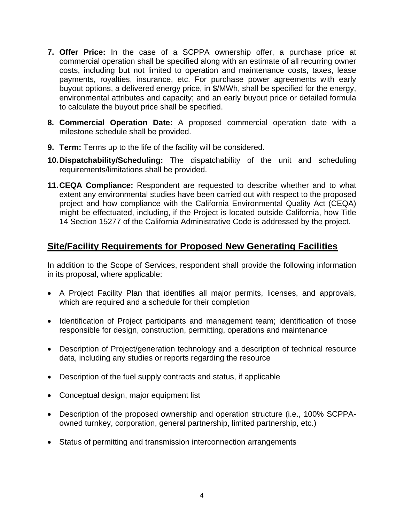- **7. Offer Price:** In the case of a SCPPA ownership offer, a purchase price at commercial operation shall be specified along with an estimate of all recurring owner costs, including but not limited to operation and maintenance costs, taxes, lease payments, royalties, insurance, etc. For purchase power agreements with early buyout options, a delivered energy price, in \$/MWh, shall be specified for the energy, environmental attributes and capacity; and an early buyout price or detailed formula to calculate the buyout price shall be specified.
- **8. Commercial Operation Date:** A proposed commercial operation date with a milestone schedule shall be provided.
- **9. Term:** Terms up to the life of the facility will be considered.
- **10. Dispatchability/Scheduling:** The dispatchability of the unit and scheduling requirements/limitations shall be provided.
- **11. CEQA Compliance:** Respondent are requested to describe whether and to what extent any environmental studies have been carried out with respect to the proposed project and how compliance with the California Environmental Quality Act (CEQA) might be effectuated, including, if the Project is located outside California, how Title 14 Section 15277 of the California Administrative Code is addressed by the project.

#### **Site/Facility Requirements for Proposed New Generating Facilities**

In addition to the Scope of Services, respondent shall provide the following information in its proposal, where applicable:

- A Project Facility Plan that identifies all major permits, licenses, and approvals, which are required and a schedule for their completion
- Identification of Project participants and management team; identification of those responsible for design, construction, permitting, operations and maintenance
- Description of Project/generation technology and a description of technical resource data, including any studies or reports regarding the resource
- Description of the fuel supply contracts and status, if applicable
- Conceptual design, major equipment list
- Description of the proposed ownership and operation structure (i.e., 100% SCPPAowned turnkey, corporation, general partnership, limited partnership, etc.)
- Status of permitting and transmission interconnection arrangements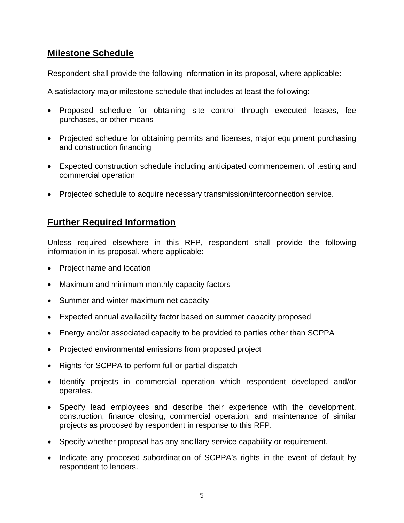#### **Milestone Schedule**

Respondent shall provide the following information in its proposal, where applicable:

A satisfactory major milestone schedule that includes at least the following:

- Proposed schedule for obtaining site control through executed leases, fee purchases, or other means
- Projected schedule for obtaining permits and licenses, major equipment purchasing and construction financing
- Expected construction schedule including anticipated commencement of testing and commercial operation
- Projected schedule to acquire necessary transmission/interconnection service.

#### **Further Required Information**

Unless required elsewhere in this RFP, respondent shall provide the following information in its proposal, where applicable:

- Project name and location
- Maximum and minimum monthly capacity factors
- Summer and winter maximum net capacity
- Expected annual availability factor based on summer capacity proposed
- Energy and/or associated capacity to be provided to parties other than SCPPA
- Projected environmental emissions from proposed project
- Rights for SCPPA to perform full or partial dispatch
- Identify projects in commercial operation which respondent developed and/or operates.
- Specify lead employees and describe their experience with the development, construction, finance closing, commercial operation, and maintenance of similar projects as proposed by respondent in response to this RFP.
- Specify whether proposal has any ancillary service capability or requirement.
- Indicate any proposed subordination of SCPPA's rights in the event of default by respondent to lenders.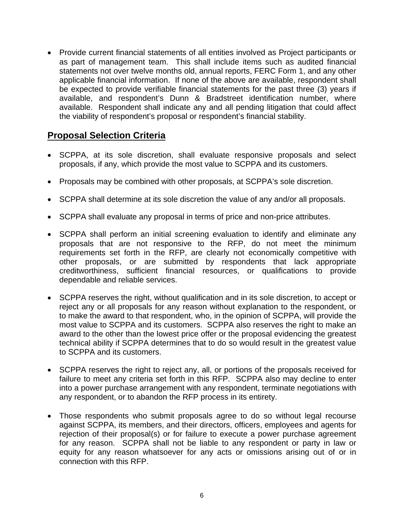• Provide current financial statements of all entities involved as Project participants or as part of management team. This shall include items such as audited financial statements not over twelve months old, annual reports, FERC Form 1, and any other applicable financial information. If none of the above are available, respondent shall be expected to provide verifiable financial statements for the past three (3) years if available, and respondent's Dunn & Bradstreet identification number, where available. Respondent shall indicate any and all pending litigation that could affect the viability of respondent's proposal or respondent's financial stability.

#### **Proposal Selection Criteria**

- SCPPA, at its sole discretion, shall evaluate responsive proposals and select proposals, if any, which provide the most value to SCPPA and its customers.
- Proposals may be combined with other proposals, at SCPPA's sole discretion.
- SCPPA shall determine at its sole discretion the value of any and/or all proposals.
- SCPPA shall evaluate any proposal in terms of price and non-price attributes.
- SCPPA shall perform an initial screening evaluation to identify and eliminate any proposals that are not responsive to the RFP, do not meet the minimum requirements set forth in the RFP, are clearly not economically competitive with other proposals, or are submitted by respondents that lack appropriate creditworthiness, sufficient financial resources, or qualifications to provide dependable and reliable services.
- SCPPA reserves the right, without qualification and in its sole discretion, to accept or reject any or all proposals for any reason without explanation to the respondent, or to make the award to that respondent, who, in the opinion of SCPPA, will provide the most value to SCPPA and its customers. SCPPA also reserves the right to make an award to the other than the lowest price offer or the proposal evidencing the greatest technical ability if SCPPA determines that to do so would result in the greatest value to SCPPA and its customers.
- SCPPA reserves the right to reject any, all, or portions of the proposals received for failure to meet any criteria set forth in this RFP. SCPPA also may decline to enter into a power purchase arrangement with any respondent, terminate negotiations with any respondent, or to abandon the RFP process in its entirety.
- Those respondents who submit proposals agree to do so without legal recourse against SCPPA, its members, and their directors, officers, employees and agents for rejection of their proposal(s) or for failure to execute a power purchase agreement for any reason. SCPPA shall not be liable to any respondent or party in law or equity for any reason whatsoever for any acts or omissions arising out of or in connection with this RFP.